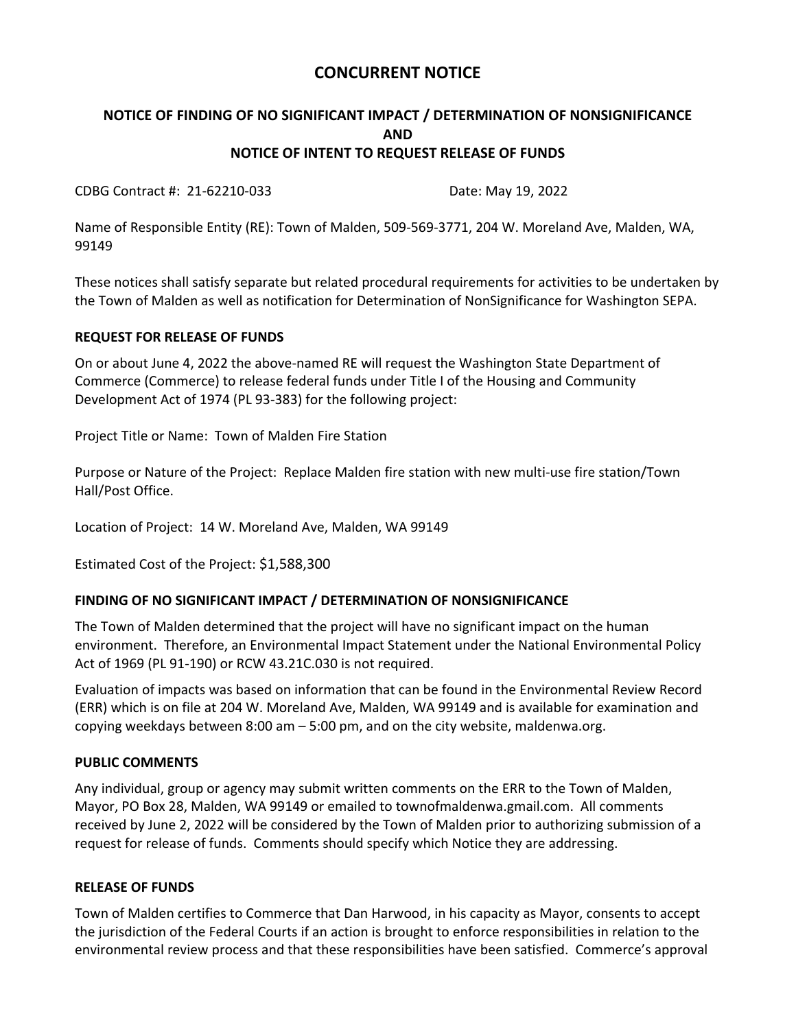# **CONCURRENT NOTICE**

## **NOTICE OF FINDING OF NO SIGNIFICANT IMPACT / DETERMINATION OF NONSIGNIFICANCE AND NOTICE OF INTENT TO REQUEST RELEASE OF FUNDS**

CDBG Contract #: 21-62210-033 Date: May 19, 2022

Name of Responsible Entity (RE): Town of Malden, 509-569-3771, 204 W. Moreland Ave, Malden, WA, 99149

These notices shall satisfy separate but related procedural requirements for activities to be undertaken by the Town of Malden as well as notification for Determination of NonSignificance for Washington SEPA.

### **REQUEST FOR RELEASE OF FUNDS**

On or about June 4, 2022 the above-named RE will request the Washington State Department of Commerce (Commerce) to release federal funds under Title I of the Housing and Community Development Act of 1974 (PL 93-383) for the following project:

Project Title or Name: Town of Malden Fire Station

Purpose or Nature of the Project: Replace Malden fire station with new multi-use fire station/Town Hall/Post Office.

Location of Project: 14 W. Moreland Ave, Malden, WA 99149

Estimated Cost of the Project: \$1,588,300

### **FINDING OF NO SIGNIFICANT IMPACT / DETERMINATION OF NONSIGNIFICANCE**

The Town of Malden determined that the project will have no significant impact on the human environment. Therefore, an Environmental Impact Statement under the National Environmental Policy Act of 1969 (PL 91-190) or RCW 43.21C.030 is not required.

Evaluation of impacts was based on information that can be found in the Environmental Review Record (ERR) which is on file at 204 W. Moreland Ave, Malden, WA 99149 and is available for examination and copying weekdays between 8:00 am – 5:00 pm, and on the city website, maldenwa.org.

#### **PUBLIC COMMENTS**

Any individual, group or agency may submit written comments on the ERR to the Town of Malden, Mayor, PO Box 28, Malden, WA 99149 or emailed to townofmaldenwa.gmail.com. All comments received by June 2, 2022 will be considered by the Town of Malden prior to authorizing submission of a request for release of funds. Comments should specify which Notice they are addressing.

#### **RELEASE OF FUNDS**

Town of Malden certifies to Commerce that Dan Harwood, in his capacity as Mayor, consents to accept the jurisdiction of the Federal Courts if an action is brought to enforce responsibilities in relation to the environmental review process and that these responsibilities have been satisfied. Commerce's approval